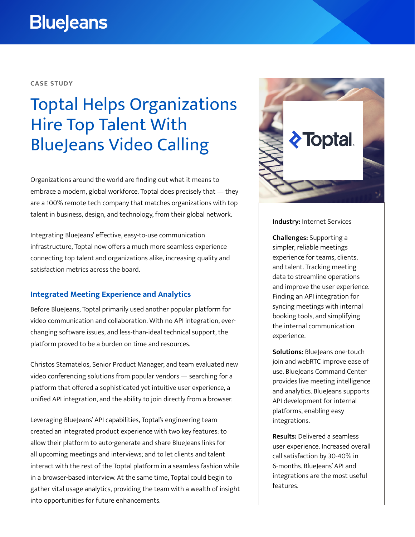# **BlueJeans**

**CASE STUDY**

# Toptal Helps Organizations Hire Top Talent With BlueJeans Video Calling

Organizations around the world are finding out what it means to embrace a modern, global workforce. Toptal does precisely that — they are a 100% remote tech company that matches organizations with top talent in business, design, and technology, from their global network.

Integrating BlueJeans' effective, easy-to-use communication infrastructure, Toptal now offers a much more seamless experience connecting top talent and organizations alike, increasing quality and satisfaction metrics across the board.

### **Integrated Meeting Experience and Analytics**

Before BlueJeans, Toptal primarily used another popular platform for video communication and collaboration. With no API integration, everchanging software issues, and less-than-ideal technical support, the platform proved to be a burden on time and resources.

Christos Stamatelos, Senior Product Manager, and team evaluated new video conferencing solutions from popular vendors — searching for a platform that offered a sophisticated yet intuitive user experience, a unified API integration, and the ability to join directly from a browser.

Leveraging BlueJeans' API capabilities, Toptal's engineering team created an integrated product experience with two key features: to allow their platform to auto-generate and share BlueJeans links for all upcoming meetings and interviews; and to let clients and talent interact with the rest of the Toptal platform in a seamless fashion while in a browser-based interview. At the same time, Toptal could begin to gather vital usage analytics, providing the team with a wealth of insight into opportunities for future enhancements.



### **Industry:** Internet Services

**Challenges:** Supporting a simpler, reliable meetings experience for teams, clients, and talent. Tracking meeting data to streamline operations and improve the user experience. Finding an API integration for syncing meetings with internal booking tools, and simplifying the internal communication experience.

**Solutions:** BlueJeans one-touch join and webRTC improve ease of use. BlueJeans Command Center provides live meeting intelligence and analytics. BlueJeans supports API development for internal platforms, enabling easy integrations.

**Results:** Delivered a seamless user experience. Increased overall call satisfaction by 30-40% in 6-months. BlueJeans' API and integrations are the most useful features.